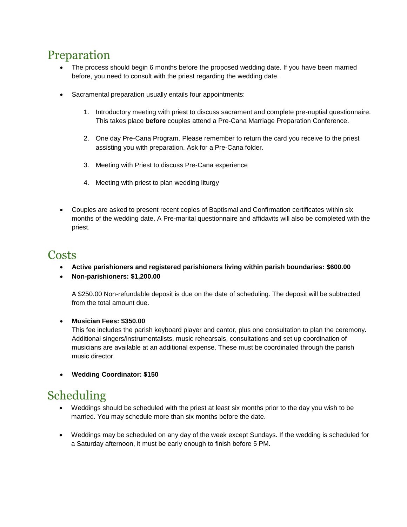# Preparation

- The process should begin 6 months before the proposed wedding date. If you have been married before, you need to consult with the priest regarding the wedding date.
- Sacramental preparation usually entails four appointments:
	- 1. Introductory meeting with priest to discuss sacrament and complete pre-nuptial questionnaire. This takes place **before** couples attend a Pre-Cana Marriage Preparation Conference.
	- 2. One day Pre-Cana Program. Please remember to return the card you receive to the priest assisting you with preparation. Ask for a Pre-Cana folder.
	- 3. Meeting with Priest to discuss Pre-Cana experience
	- 4. Meeting with priest to plan wedding liturgy
- Couples are asked to present recent copies of Baptismal and Confirmation certificates within six months of the wedding date. A Pre-marital questionnaire and affidavits will also be completed with the priest.

#### **Costs**

- **Active parishioners and registered parishioners living within parish boundaries: \$600.00**
- **Non-parishioners: \$1,200.00**

A \$250.00 Non-refundable deposit is due on the date of scheduling. The deposit will be subtracted from the total amount due.

#### **Musician Fees: \$350.00**

This fee includes the parish keyboard player and cantor, plus one consultation to plan the ceremony. Additional singers/instrumentalists, music rehearsals, consultations and set up coordination of musicians are available at an additional expense. These must be coordinated through the parish music director.

**Wedding Coordinator: \$150**

# Scheduling

- Weddings should be scheduled with the priest at least six months prior to the day you wish to be married. You may schedule more than six months before the date.
- Weddings may be scheduled on any day of the week except Sundays. If the wedding is scheduled for a Saturday afternoon, it must be early enough to finish before 5 PM.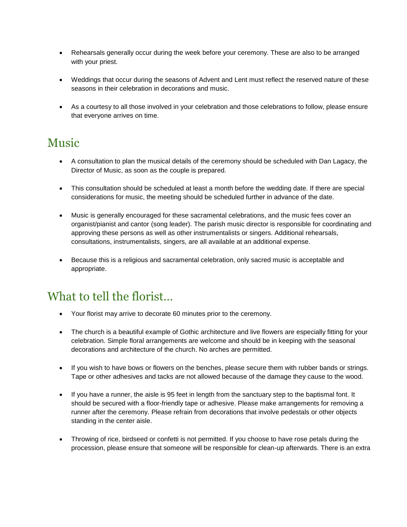- Rehearsals generally occur during the week before your ceremony. These are also to be arranged with your priest.
- Weddings that occur during the seasons of Advent and Lent must reflect the reserved nature of these seasons in their celebration in decorations and music.
- As a courtesy to all those involved in your celebration and those celebrations to follow, please ensure that everyone arrives on time.

## Music

- A consultation to plan the musical details of the ceremony should be scheduled with Dan Lagacy, the Director of Music, as soon as the couple is prepared.
- This consultation should be scheduled at least a month before the wedding date. If there are special considerations for music, the meeting should be scheduled further in advance of the date.
- Music is generally encouraged for these sacramental celebrations, and the music fees cover an organist/pianist and cantor (song leader). The parish music director is responsible for coordinating and approving these persons as well as other instrumentalists or singers. Additional rehearsals, consultations, instrumentalists, singers, are all available at an additional expense.
- Because this is a religious and sacramental celebration, only sacred music is acceptable and appropriate.

# What to tell the florist…

- Your florist may arrive to decorate 60 minutes prior to the ceremony.
- The church is a beautiful example of Gothic architecture and live flowers are especially fitting for your celebration. Simple floral arrangements are welcome and should be in keeping with the seasonal decorations and architecture of the church. No arches are permitted.
- If you wish to have bows or flowers on the benches, please secure them with rubber bands or strings. Tape or other adhesives and tacks are not allowed because of the damage they cause to the wood.
- If you have a runner, the aisle is 95 feet in length from the sanctuary step to the baptismal font. It should be secured with a floor-friendly tape or adhesive. Please make arrangements for removing a runner after the ceremony. Please refrain from decorations that involve pedestals or other objects standing in the center aisle.
- Throwing of rice, birdseed or confetti is not permitted. If you choose to have rose petals during the procession, please ensure that someone will be responsible for clean-up afterwards. There is an extra